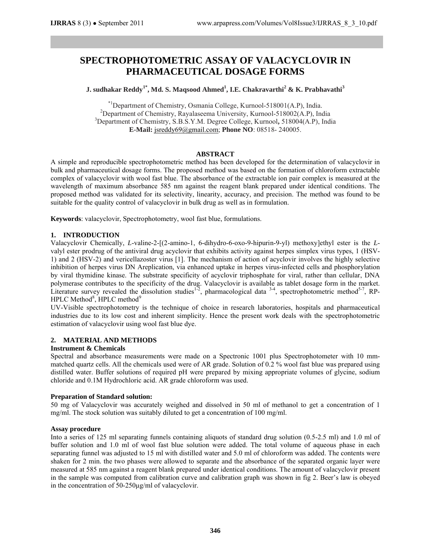# **SPECTROPHOTOMETRIC ASSAY OF VALACYCLOVIR IN PHARMACEUTICAL DOSAGE FORMS**

**J. sudhakar Reddy1\*, Md. S. Maqsood Ahmed1 , I.E. Chakravarthi<sup>2</sup> & K. Prabhavathi<sup>3</sup>**

\*1Department of Chemistry, Osmania College, Kurnool-518001(A.P), India. <sup>2</sup> <sup>2</sup>Department of Chemistry, Rayalaseema University, Kurnool-518002(A.P), India Department of Chemistry, S.B.S.Y.M. Degree College, Kurnool**,** 518004(A.P), India **E-Mail:** jsreddy69@gmail.com; **Phone NO**: 08518- 240005.

## **ABSTRACT**

A simple and reproducible spectrophotometric method has been developed for the determination of valacyclovir in bulk and pharmaceutical dosage forms. The proposed method was based on the formation of chloroform extractable complex of valacyclovir with wool fast blue. The absorbance of the extractable ion pair complex is measured at the wavelength of maximum absorbance 585 nm against the reagent blank prepared under identical conditions. The proposed method was validated for its selectivity, linearity, accuracy, and precision. The method was found to be suitable for the quality control of valacyclovir in bulk drug as well as in formulation.

**Keywords**: valacyclovir, Spectrophotometry, wool fast blue, formulations.

## **1. INTRODUCTION**

Valacyclovir Chemically, *L*-valine-2-[(2-amino-1, 6-dihydro-6-oxo-9-hipurin-9-yl) methoxy]ethyl ester is the *L*valyl ester prodrug of the antiviral drug acyclovir that exhibits activity against herpes simplex virus types, 1 (HSV-1) and 2 (HSV-2) and vericellazoster virus [1]. The mechanism of action of acyclovir involves the highly selective inhibition of herpes virus DN Areplication, via enhanced uptake in herpes virus-infected cells and phosphorylation by viral thymidine kinase. The substrate specificity of acyclovir triphosphate for viral, rather than cellular, DNA polymerase contributes to the specificity of the drug. Valacyclovir is available as tablet dosage form in the market. Literature survey revealed the dissolution studies<sup>1-2</sup>, pharmacological data  $3-4$ , spectrophotometric method $5-7$ , RP-HPLC Method<sup>8</sup>, HPLC method<sup>9</sup>

UV-Visible spectrophotometry is the technique of choice in research laboratories, hospitals and pharmaceutical industries due to its low cost and inherent simplicity. Hence the present work deals with the spectrophotometric estimation of valacyclovir using wool fast blue dye.

## **2. MATERIAL AND METHODS**

## **Instrument & Chemicals**

Spectral and absorbance measurements were made on a Spectronic 1001 plus Spectrophotometer with 10 mmmatched quartz cells. All the chemicals used were of AR grade. Solution of 0.2 % wool fast blue was prepared using distilled water. Buffer solutions of required pH were prepared by mixing appropriate volumes of glycine, sodium chloride and 0.1M Hydrochloric acid. AR grade chloroform was used.

### **Preparation of Standard solution:**

50 mg of Valacyclovir was accurately weighed and dissolved in 50 ml of methanol to get a concentration of 1 mg/ml. The stock solution was suitably diluted to get a concentration of 100 mg/ml.

### **Assay procedure**

Into a series of 125 ml separating funnels containing aliquots of standard drug solution (0.5-2.5 ml) and 1.0 ml of buffer solution and 1.0 ml of wool fast blue solution were added. The total volume of aqueous phase in each separating funnel was adjusted to 15 ml with distilled water and 5.0 ml of chloroform was added. The contents were shaken for 2 min. the two phases were allowed to separate and the absorbance of the separated organic layer were measured at 585 nm against a reagent blank prepared under identical conditions. The amount of valacyclovir present in the sample was computed from calibration curve and calibration graph was shown in fig 2. Beer's law is obeyed in the concentration of 50-250μg/ml of valacyclovir.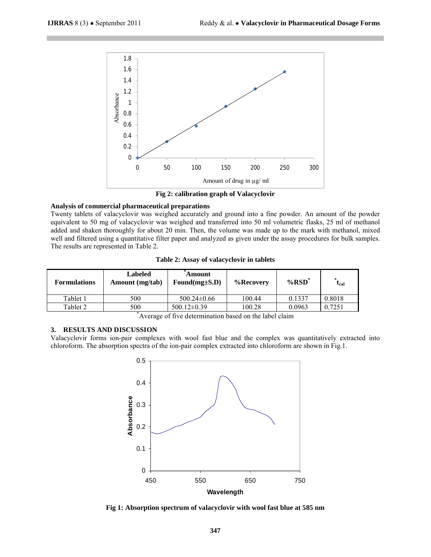

**Fig 2: calibration graph of Valacyclovir**

#### **Analysis of commercial pharmaceutical preparations**

Twenty tablets of valacyclovir was weighed accurately and ground into a fine powder. An amount of the powder equivalent to 50 mg of valacyclovir was weighed and transferred into 50 ml volumetric flasks, 25 ml of methanol added and shaken thoroughly for about 20 min. Then, the volume was made up to the mark with methanol, mixed well and filtered using a quantitative filter paper and analyzed as given under the assay procedures for bulk samples. The results are represented in Table 2.

**Table 2: Assay of valacyclovir in tablets**

| <b>Formulations</b> | Labeled<br>Amount (mg/tab) | Amount<br>Found( $mg \pm S.D$ ) | %Recovery | $%RSD^*$ | $t_{cal}$ |
|---------------------|----------------------------|---------------------------------|-----------|----------|-----------|
| Tablet 1            | 500                        | $500.24 \pm 0.66$               | 100.44    | 0.1337   | 0.8018    |
| Tablet 2            | 500                        | $500.12\pm0.39$                 | 100.28    | 0.0963   | 0.7251    |

\* Average of five determination based on the label claim

### **3. RESULTS AND DISCUSSION**

Valacyclovir forms ion-pair complexes with wool fast blue and the complex was quantitatively extracted into chloroform. The absorption spectra of the ion-pair complex extracted into chloroform are shown in Fig.1.



**Fig 1: Absorption spectrum of valacyclovir with wool fast blue at 585 nm**